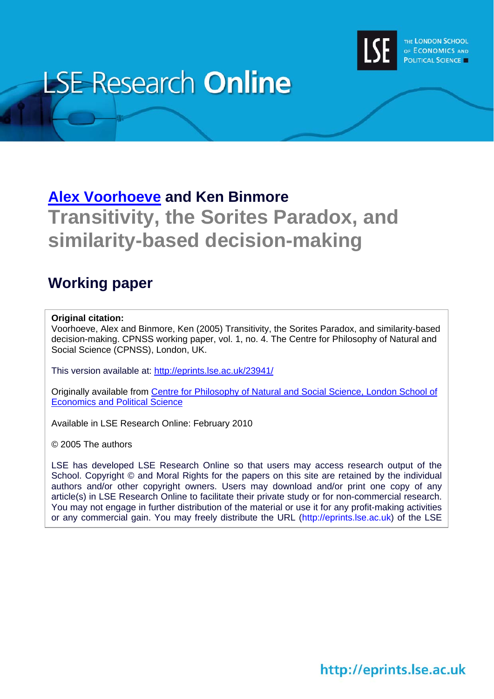

# **LSE Research Online**

# **[Alex Voorhoeve](http://www2.lse.ac.uk/researchAndExpertise/Experts/profile.aspx?KeyValue=a.e.voorhoeve@lse.ac.uk) and Ken Binmore Transitivity, the Sorites Paradox, and similarity-based decision-making**

## **Working paper**

#### **Original citation:**

Voorhoeve, Alex and Binmore, Ken (2005) Transitivity, the Sorites Paradox, and similarity-based decision-making. CPNSS working paper, vol. 1, no. 4. The Centre for Philosophy of Natural and Social Science (CPNSS), London, UK.

This version available at: <http://eprints.lse.ac.uk/23941/>

Originally available from [Centre for Philosophy of Natural and Social Science, London School of](http://www2.lse.ac.uk/CPNSS/Home.aspx)  [Economics and Political Science](http://www2.lse.ac.uk/CPNSS/Home.aspx)

Available in LSE Research Online: February 2010

© 2005 The authors

LSE has developed LSE Research Online so that users may access research output of the School. Copyright © and Moral Rights for the papers on this site are retained by the individual authors and/or other copyright owners. Users may download and/or print one copy of any article(s) in LSE Research Online to facilitate their private study or for non-commercial research. You may not engage in further distribution of the material or use it for any profit-making activities or any commercial gain. You may freely distribute the URL (http://eprints.lse.ac.uk) of the LSE

## http://eprints.lse.ac.uk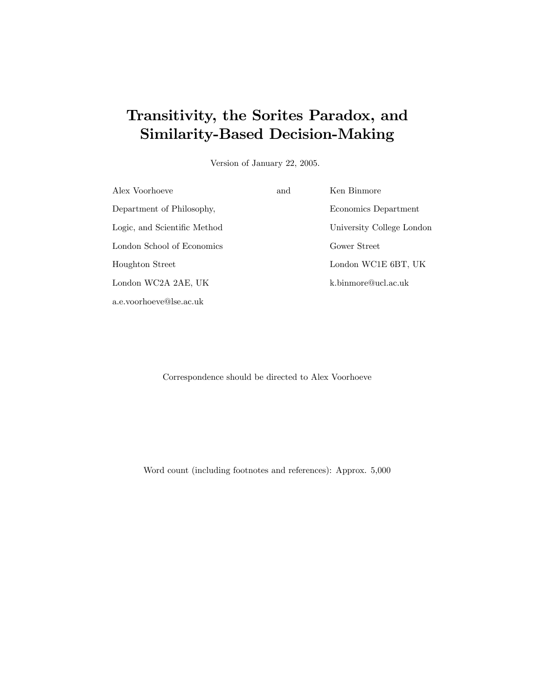## Transitivity, the Sorites Paradox, and Similarity-Based Decision-Making

Version of January 22, 2005.

| Alex Voorhoeve               | and | Ken Binmore               |
|------------------------------|-----|---------------------------|
| Department of Philosophy,    |     | Economics Department      |
| Logic, and Scientific Method |     | University College London |
| London School of Economics   |     | Gower Street              |
| Houghton Street              |     | London WC1E 6BT, UK       |
| London WC2A 2AE, UK          |     | k.binmore@ucl.ac.uk       |
| a.e.voorhoeve@lse.ac.uk      |     |                           |

Correspondence should be directed to Alex Voorhoeve

Word count (including footnotes and references): Approx. 5,000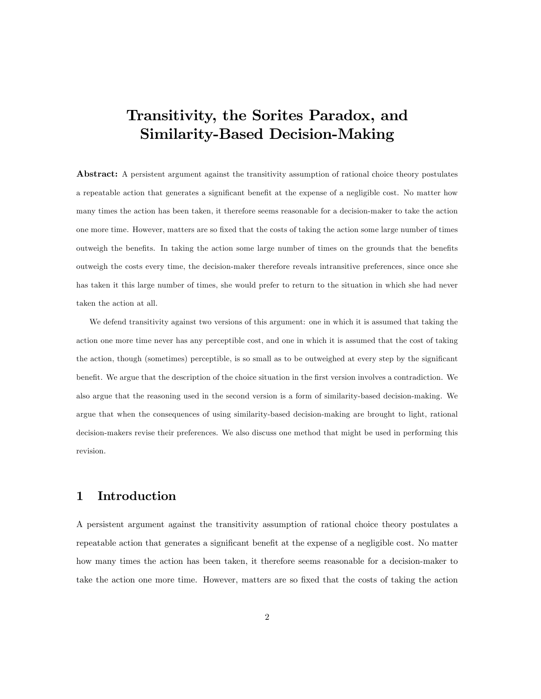## Transitivity, the Sorites Paradox, and Similarity-Based Decision-Making

Abstract: A persistent argument against the transitivity assumption of rational choice theory postulates a repeatable action that generates a significant benefit at the expense of a negligible cost. No matter how many times the action has been taken, it therefore seems reasonable for a decision-maker to take the action one more time. However, matters are so fixed that the costs of taking the action some large number of times outweigh the benefits. In taking the action some large number of times on the grounds that the benefits outweigh the costs every time, the decision-maker therefore reveals intransitive preferences, since once she has taken it this large number of times, she would prefer to return to the situation in which she had never taken the action at all.

We defend transitivity against two versions of this argument: one in which it is assumed that taking the action one more time never has any perceptible cost, and one in which it is assumed that the cost of taking the action, though (sometimes) perceptible, is so small as to be outweighed at every step by the significant benefit. We argue that the description of the choice situation in the first version involves a contradiction. We also argue that the reasoning used in the second version is a form of similarity-based decision-making. We argue that when the consequences of using similarity-based decision-making are brought to light, rational decision-makers revise their preferences. We also discuss one method that might be used in performing this revision.

### 1 Introduction

A persistent argument against the transitivity assumption of rational choice theory postulates a repeatable action that generates a significant benefit at the expense of a negligible cost. No matter how many times the action has been taken, it therefore seems reasonable for a decision-maker to take the action one more time. However, matters are so Öxed that the costs of taking the action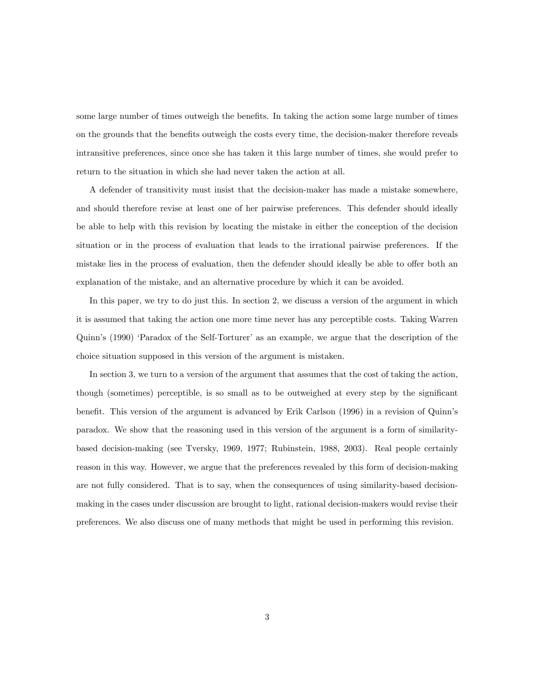some large number of times outweigh the benefits. In taking the action some large number of times on the grounds that the benefits outweigh the costs every time, the decision-maker therefore reveals intransitive preferences, since once she has taken it this large number of times, she would prefer to return to the situation in which she had never taken the action at all.

A defender of transitivity must insist that the decision-maker has made a mistake somewhere, and should therefore revise at least one of her pairwise preferences. This defender should ideally be able to help with this revision by locating the mistake in either the conception of the decision situation or in the process of evaluation that leads to the irrational pairwise preferences. If the mistake lies in the process of evaluation, then the defender should ideally be able to offer both an explanation of the mistake, and an alternative procedure by which it can be avoided.

In this paper, we try to do just this. In section 2, we discuss a version of the argument in which it is assumed that taking the action one more time never has any perceptible costs. Taking Warren Quinn's (1990) 'Paradox of the Self-Torturer' as an example, we argue that the description of the choice situation supposed in this version of the argument is mistaken.

In section 3, we turn to a version of the argument that assumes that the cost of taking the action, though (sometimes) perceptible, is so small as to be outweighed at every step by the significant benefit. This version of the argument is advanced by Erik Carlson (1996) in a revision of Quinn's paradox. We show that the reasoning used in this version of the argument is a form of similaritybased decision-making (see Tversky, 1969, 1977; Rubinstein, 1988, 2003). Real people certainly reason in this way. However, we argue that the preferences revealed by this form of decision-making are not fully considered. That is to say, when the consequences of using similarity-based decisionmaking in the cases under discussion are brought to light, rational decision-makers would revise their preferences. We also discuss one of many methods that might be used in performing this revision.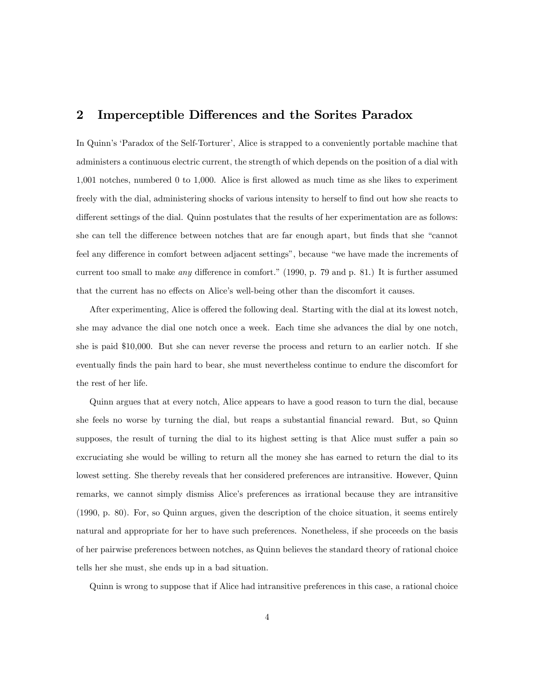#### 2 Imperceptible Differences and the Sorites Paradox

In Quinn's 'Paradox of the Self-Torturer', Alice is strapped to a conveniently portable machine that administers a continuous electric current, the strength of which depends on the position of a dial with 1,001 notches, numbered 0 to 1,000. Alice is first allowed as much time as she likes to experiment freely with the dial, administering shocks of various intensity to herself to find out how she reacts to different settings of the dial. Quinn postulates that the results of her experimentation are as follows: she can tell the difference between notches that are far enough apart, but finds that she "cannot feel any difference in comfort between adjacent settings", because "we have made the increments of current too small to make any difference in comfort." (1990, p. 79 and p. 81.) It is further assumed that the current has no effects on Alice's well-being other than the discomfort it causes.

After experimenting, Alice is offered the following deal. Starting with the dial at its lowest notch, she may advance the dial one notch once a week. Each time she advances the dial by one notch, she is paid \$10,000. But she can never reverse the process and return to an earlier notch. If she eventually finds the pain hard to bear, she must nevertheless continue to endure the discomfort for the rest of her life.

Quinn argues that at every notch, Alice appears to have a good reason to turn the dial, because she feels no worse by turning the dial, but reaps a substantial financial reward. But, so Quinn supposes, the result of turning the dial to its highest setting is that Alice must suffer a pain so excruciating she would be willing to return all the money she has earned to return the dial to its lowest setting. She thereby reveals that her considered preferences are intransitive. However, Quinn remarks, we cannot simply dismiss Alice's preferences as irrational because they are intransitive (1990, p. 80). For, so Quinn argues, given the description of the choice situation, it seems entirely natural and appropriate for her to have such preferences. Nonetheless, if she proceeds on the basis of her pairwise preferences between notches, as Quinn believes the standard theory of rational choice tells her she must, she ends up in a bad situation.

Quinn is wrong to suppose that if Alice had intransitive preferences in this case, a rational choice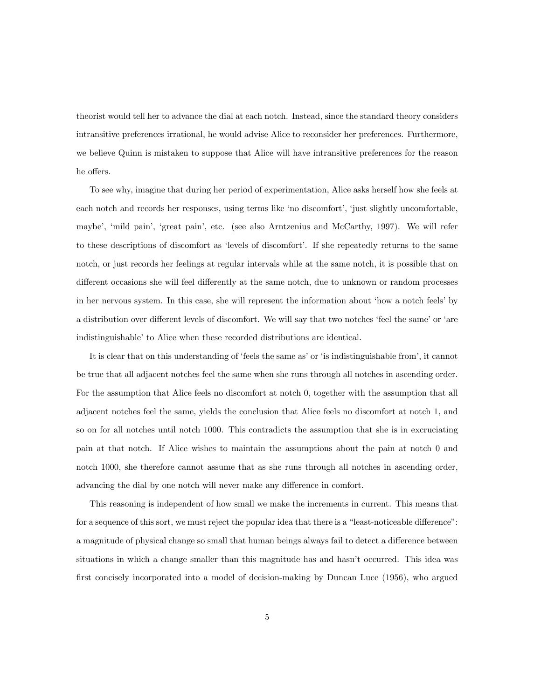theorist would tell her to advance the dial at each notch. Instead, since the standard theory considers intransitive preferences irrational, he would advise Alice to reconsider her preferences. Furthermore, we believe Quinn is mistaken to suppose that Alice will have intransitive preferences for the reason he offers.

To see why, imagine that during her period of experimentation, Alice asks herself how she feels at each notch and records her responses, using terms like 'no discomfort', 'just slightly uncomfortable, maybe', 'mild pain', 'great pain', etc. (see also Arntzenius and McCarthy, 1997). We will refer to these descriptions of discomfort as 'levels of discomfort'. If she repeatedly returns to the same notch, or just records her feelings at regular intervals while at the same notch, it is possible that on different occasions she will feel differently at the same notch, due to unknown or random processes in her nervous system. In this case, she will represent the information about 'how a notch feels' by a distribution over different levels of discomfort. We will say that two notches 'feel the same' or 'are indistinguishable to Alice when these recorded distributions are identical.

It is clear that on this understanding of 'feels the same as' or 'is indistinguishable from', it cannot be true that all adjacent notches feel the same when she runs through all notches in ascending order. For the assumption that Alice feels no discomfort at notch 0, together with the assumption that all adjacent notches feel the same, yields the conclusion that Alice feels no discomfort at notch 1, and so on for all notches until notch 1000. This contradicts the assumption that she is in excruciating pain at that notch. If Alice wishes to maintain the assumptions about the pain at notch 0 and notch 1000, she therefore cannot assume that as she runs through all notches in ascending order, advancing the dial by one notch will never make any difference in comfort.

This reasoning is independent of how small we make the increments in current. This means that for a sequence of this sort, we must reject the popular idea that there is a "least-noticeable difference": a magnitude of physical change so small that human beings always fail to detect a difference between situations in which a change smaller than this magnitude has and hasn't occurred. This idea was first concisely incorporated into a model of decision-making by Duncan Luce (1956), who argued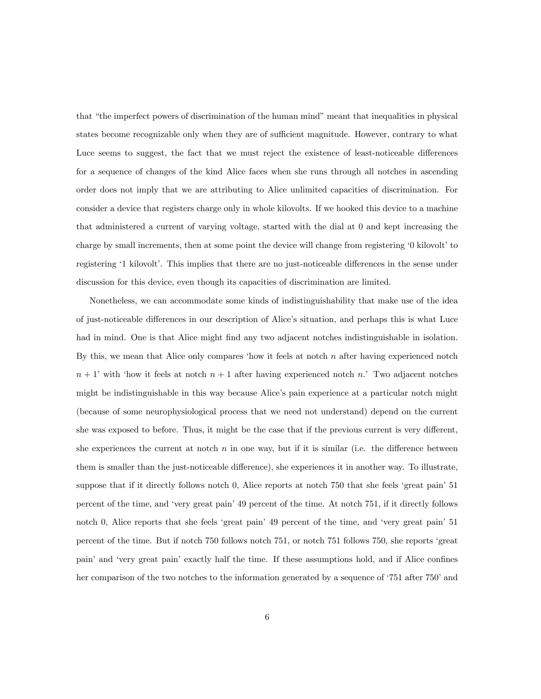that "the imperfect powers of discrimination of the human mind" meant that inequalities in physical states become recognizable only when they are of sufficient magnitude. However, contrary to what Luce seems to suggest, the fact that we must reject the existence of least-noticeable differences for a sequence of changes of the kind Alice faces when she runs through all notches in ascending order does not imply that we are attributing to Alice unlimited capacities of discrimination. For consider a device that registers charge only in whole kilovolts. If we hooked this device to a machine that administered a current of varying voltage, started with the dial at 0 and kept increasing the charge by small increments, then at some point the device will change from registering  $\dot{\theta}$  kilovolt to registering '1 kilovolt'. This implies that there are no just-noticeable differences in the sense under discussion for this device, even though its capacities of discrimination are limited.

Nonetheless, we can accommodate some kinds of indistinguishability that make use of the idea of just-noticeable differences in our description of Alice's situation, and perhaps this is what Luce had in mind. One is that Alice might find any two adjacent notches indistinguishable in isolation. By this, we mean that Alice only compares 'how it feels at notch  $n$  after having experienced notch  $n + 1'$  with 'how it feels at notch  $n + 1$  after having experienced notch n.' Two adjacent notches might be indistinguishable in this way because Alice's pain experience at a particular notch might (because of some neurophysiological process that we need not understand) depend on the current she was exposed to before. Thus, it might be the case that if the previous current is very different, she experiences the current at notch  $n$  in one way, but if it is similar (i.e. the difference between them is smaller than the just-noticeable difference), she experiences it in another way. To illustrate, suppose that if it directly follows notch  $0$ , Alice reports at notch 750 that she feels 'great pain' 51 percent of the time, and 'very great pain' 49 percent of the time. At notch 751, if it directly follows notch 0, Alice reports that she feels 'great pain' 49 percent of the time, and 'very great pain' 51 percent of the time. But if notch 750 follows notch 751, or notch 751 follows 750, she reports ëgreat pain' and 'very great pain' exactly half the time. If these assumptions hold, and if Alice confines her comparison of the two notches to the information generated by a sequence of '751 after 750' and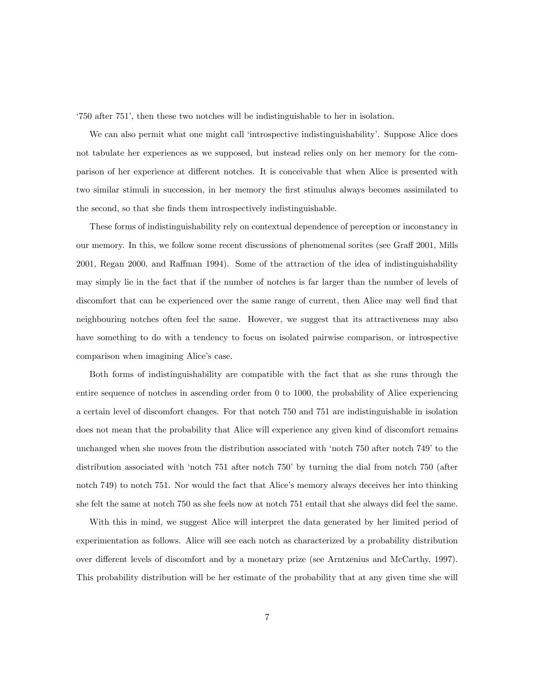ë750 after 751í, then these two notches will be indistinguishable to her in isolation.

We can also permit what one might call 'introspective indistinguishability'. Suppose Alice does not tabulate her experiences as we supposed, but instead relies only on her memory for the comparison of her experience at different notches. It is conceivable that when Alice is presented with two similar stimuli in succession, in her memory the first stimulus always becomes assimilated to the second, so that she finds them introspectively indistinguishable.

These forms of indistinguishability rely on contextual dependence of perception or inconstancy in our memory. In this, we follow some recent discussions of phenomenal sorites (see Graff 2001, Mills 2001, Regan 2000, and Raffman 1994). Some of the attraction of the idea of indistinguishability may simply lie in the fact that if the number of notches is far larger than the number of levels of discomfort that can be experienced over the same range of current, then Alice may well find that neighbouring notches often feel the same. However, we suggest that its attractiveness may also have something to do with a tendency to focus on isolated pairwise comparison, or introspective comparison when imagining Alice's case.

Both forms of indistinguishability are compatible with the fact that as she runs through the entire sequence of notches in ascending order from 0 to 1000, the probability of Alice experiencing a certain level of discomfort changes. For that notch 750 and 751 are indistinguishable in isolation does not mean that the probability that Alice will experience any given kind of discomfort remains unchanged when she moves from the distribution associated with 'notch 750 after notch 749' to the distribution associated with 'notch 751 after notch 750' by turning the dial from notch 750 (after notch 749) to notch 751. Nor would the fact that Alice's memory always deceives her into thinking she felt the same at notch 750 as she feels now at notch 751 entail that she always did feel the same.

With this in mind, we suggest Alice will interpret the data generated by her limited period of experimentation as follows. Alice will see each notch as characterized by a probability distribution over different levels of discomfort and by a monetary prize (see Arntzenius and McCarthy, 1997). This probability distribution will be her estimate of the probability that at any given time she will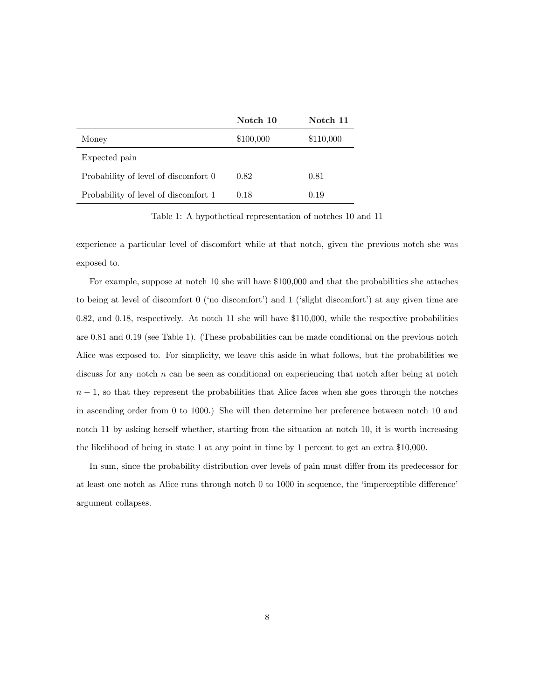|                                      | Notch 10  | Notch 11  |
|--------------------------------------|-----------|-----------|
| Money                                | \$100,000 | \$110,000 |
| Expected pain                        |           |           |
| Probability of level of discomfort 0 | 0.82      | 0.81      |
| Probability of level of discomfort 1 | 0.18      | 0.19      |

Table 1: A hypothetical representation of notches 10 and 11

experience a particular level of discomfort while at that notch, given the previous notch she was exposed to.

For example, suppose at notch 10 she will have \$100,000 and that the probabilities she attaches to being at level of discomfort  $0$  ('no discomfort') and  $1$  ('slight discomfort') at any given time are 0.82, and 0.18, respectively. At notch 11 she will have \$110,000, while the respective probabilities are 0.81 and 0.19 (see Table 1). (These probabilities can be made conditional on the previous notch Alice was exposed to. For simplicity, we leave this aside in what follows, but the probabilities we discuss for any notch  $n$  can be seen as conditional on experiencing that notch after being at notch  $n-1$ , so that they represent the probabilities that Alice faces when she goes through the notches in ascending order from 0 to 1000.) She will then determine her preference between notch 10 and notch 11 by asking herself whether, starting from the situation at notch 10, it is worth increasing the likelihood of being in state 1 at any point in time by 1 percent to get an extra \$10,000.

In sum, since the probability distribution over levels of pain must differ from its predecessor for at least one notch as Alice runs through notch  $0$  to  $1000$  in sequence, the 'imperceptible difference' argument collapses.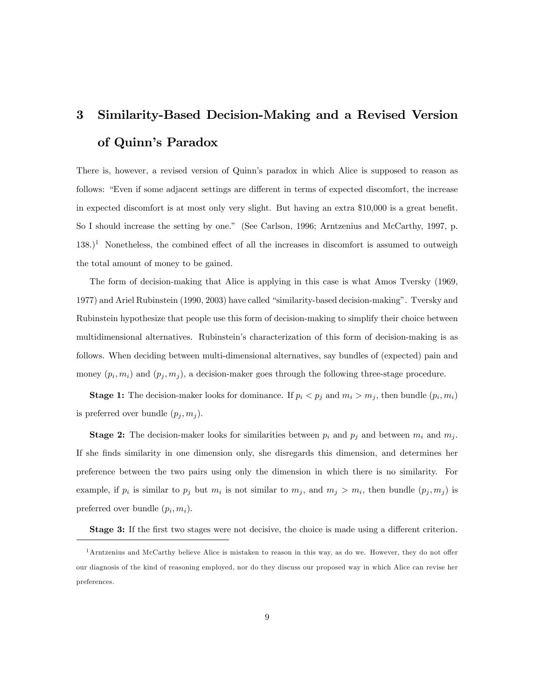## 3 Similarity-Based Decision-Making and a Revised Version of Quinn's Paradox

There is, however, a revised version of Quinn's paradox in which Alice is supposed to reason as follows: "Even if some adjacent settings are different in terms of expected discomfort, the increase in expected discomfort is at most only very slight. But having an extra \$10,000 is a great benefit. So I should increase the setting by one." (See Carlson, 1996; Arntzenius and McCarthy, 1997, p.  $138.$ <sup>1</sup> Nonetheless, the combined effect of all the increases in discomfort is assumed to outweigh the total amount of money to be gained.

The form of decision-making that Alice is applying in this case is what Amos Tversky (1969, 1977) and Ariel Rubinstein (1990, 2003) have called "similarity-based decision-making". Tversky and Rubinstein hypothesize that people use this form of decision-making to simplify their choice between multidimensional alternatives. Rubinstein's characterization of this form of decision-making is as follows. When deciding between multi-dimensional alternatives, say bundles of (expected) pain and money  $(p_i, m_i)$  and  $(p_j, m_j)$ , a decision-maker goes through the following three-stage procedure.

**Stage 1:** The decision-maker looks for dominance. If  $p_i < p_j$  and  $m_i > m_j$ , then bundle  $(p_i, m_i)$ is preferred over bundle  $(p_j, m_j)$ .

**Stage 2:** The decision-maker looks for similarities between  $p_i$  and  $p_j$  and between  $m_i$  and  $m_j$ . If she Önds similarity in one dimension only, she disregards this dimension, and determines her preference between the two pairs using only the dimension in which there is no similarity. For example, if  $p_i$  is similar to  $p_j$  but  $m_i$  is not similar to  $m_j$ , and  $m_j > m_i$ , then bundle  $(p_j, m_j)$  is preferred over bundle  $(p_i, m_i)$ .

**Stage 3:** If the first two stages were not decisive, the choice is made using a different criterion.

 $1$ Arntzenius and McCarthy believe Alice is mistaken to reason in this way, as do we. However, they do not offer our diagnosis of the kind of reasoning employed, nor do they discuss our proposed way in which Alice can revise her preferences.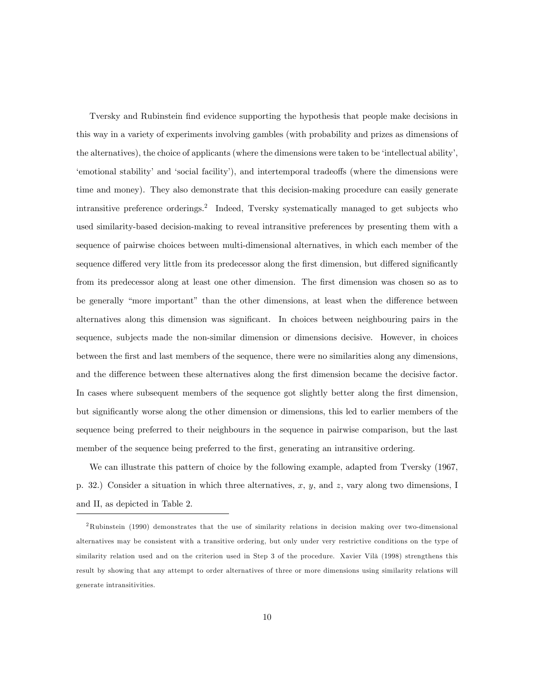Tversky and Rubinstein find evidence supporting the hypothesis that people make decisions in this way in a variety of experiments involving gambles (with probability and prizes as dimensions of the alternatives), the choice of applicants (where the dimensions were taken to be 'intellectual ability', ëemotional stabilityí and ësocial facilityí), and intertemporal tradeo§s (where the dimensions were time and money). They also demonstrate that this decision-making procedure can easily generate intransitive preference orderings.<sup>2</sup> Indeed, Tversky systematically managed to get subjects who used similarity-based decision-making to reveal intransitive preferences by presenting them with a sequence of pairwise choices between multi-dimensional alternatives, in which each member of the sequence differed very little from its predecessor along the first dimension, but differed significantly from its predecessor along at least one other dimension. The first dimension was chosen so as to be generally "more important" than the other dimensions, at least when the difference between alternatives along this dimension was significant. In choices between neighbouring pairs in the sequence, subjects made the non-similar dimension or dimensions decisive. However, in choices between the Örst and last members of the sequence, there were no similarities along any dimensions, and the difference between these alternatives along the first dimension became the decisive factor. In cases where subsequent members of the sequence got slightly better along the first dimension, but significantly worse along the other dimension or dimensions, this led to earlier members of the sequence being preferred to their neighbours in the sequence in pairwise comparison, but the last member of the sequence being preferred to the first, generating an intransitive ordering.

We can illustrate this pattern of choice by the following example, adapted from Tversky (1967, p. 32.) Consider a situation in which three alternatives,  $x, y$ , and  $z$ , vary along two dimensions, I and II, as depicted in Table 2.

<sup>2</sup>Rubinstein (1990) demonstrates that the use of similarity relations in decision making over two-dimensional alternatives may be consistent with a transitive ordering, but only under very restrictive conditions on the type of similarity relation used and on the criterion used in Step 3 of the procedure. Xavier Vilà (1998) strengthens this result by showing that any attempt to order alternatives of three or more dimensions using similarity relations will generate intransitivities.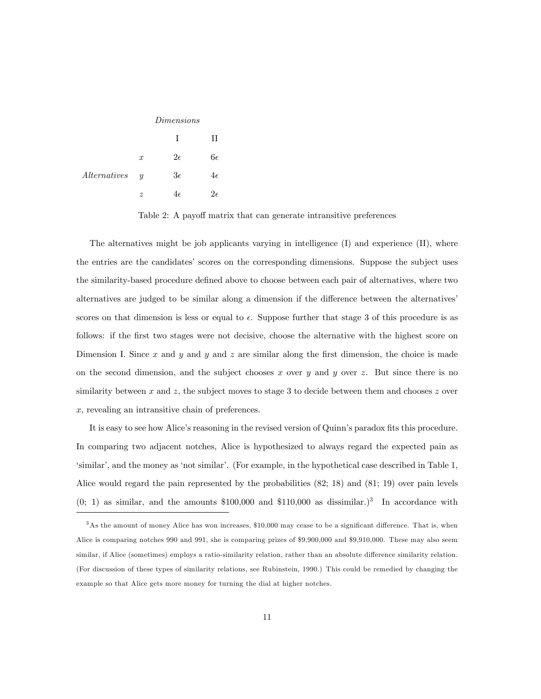| Dimensions |  |
|------------|--|
|            |  |

|                |                           |             | Н           |
|----------------|---------------------------|-------------|-------------|
|                | $\boldsymbol{x}$          | $2\epsilon$ | 6€          |
| Alternatives y |                           | $3\epsilon$ | 4ε          |
|                | $\widetilde{\mathcal{Z}}$ | $4\epsilon$ | $2\epsilon$ |

Table 2: A payoff matrix that can generate intransitive preferences

The alternatives might be job applicants varying in intelligence (I) and experience (II), where the entries are the candidates' scores on the corresponding dimensions. Suppose the subject uses the similarity-based procedure defined above to choose between each pair of alternatives, where two alternatives are judged to be similar along a dimension if the difference between the alternatives scores on that dimension is less or equal to  $\epsilon$ . Suppose further that stage 3 of this procedure is as follows: if the first two stages were not decisive, choose the alternative with the highest score on Dimension I. Since  $x$  and  $y$  and  $z$  are similar along the first dimension, the choice is made on the second dimension, and the subject chooses x over y and y over z. But since there is no similarity between x and z, the subject moves to stage 3 to decide between them and chooses z over x, revealing an intransitive chain of preferences.

It is easy to see how Alice's reasoning in the revised version of Quinn's paradox fits this procedure. In comparing two adjacent notches, Alice is hypothesized to always regard the expected pain as ësimilarí, and the money as ënot similarí. (For example, in the hypothetical case described in Table 1, Alice would regard the pain represented by the probabilities (82; 18) and (81; 19) over pain levels  $(0; 1)$  as similar, and the amounts \$100,000 and \$110,000 as dissimilar.)<sup>3</sup> In accordance with

 $3$ As the amount of money Alice has won increases, \$10,000 may cease to be a significant difference. That is, when Alice is comparing notches 990 and 991, she is comparing prizes of \$9,900,000 and \$9,910,000. These may also seem similar, if Alice (sometimes) employs a ratio-similarity relation, rather than an absolute difference similarity relation. (For discussion of these types of similarity relations, see Rubinstein, 1990.) This could be remedied by changing the example so that Alice gets more money for turning the dial at higher notches.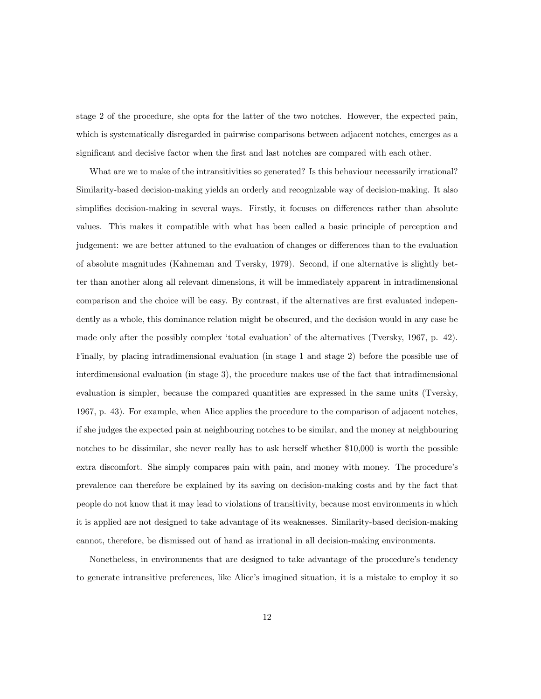stage 2 of the procedure, she opts for the latter of the two notches. However, the expected pain, which is systematically disregarded in pairwise comparisons between adjacent notches, emerges as a significant and decisive factor when the first and last notches are compared with each other.

What are we to make of the intransitivities so generated? Is this behaviour necessarily irrational? Similarity-based decision-making yields an orderly and recognizable way of decision-making. It also simplifies decision-making in several ways. Firstly, it focuses on differences rather than absolute values. This makes it compatible with what has been called a basic principle of perception and judgement: we are better attuned to the evaluation of changes or differences than to the evaluation of absolute magnitudes (Kahneman and Tversky, 1979). Second, if one alternative is slightly better than another along all relevant dimensions, it will be immediately apparent in intradimensional comparison and the choice will be easy. By contrast, if the alternatives are first evaluated independently as a whole, this dominance relation might be obscured, and the decision would in any case be made only after the possibly complex 'total evaluation' of the alternatives (Tversky,  $1967$ , p. 42). Finally, by placing intradimensional evaluation (in stage 1 and stage 2) before the possible use of interdimensional evaluation (in stage 3), the procedure makes use of the fact that intradimensional evaluation is simpler, because the compared quantities are expressed in the same units (Tversky, 1967, p. 43). For example, when Alice applies the procedure to the comparison of adjacent notches, if she judges the expected pain at neighbouring notches to be similar, and the money at neighbouring notches to be dissimilar, she never really has to ask herself whether \$10,000 is worth the possible extra discomfort. She simply compares pain with pain, and money with money. The procedure's prevalence can therefore be explained by its saving on decision-making costs and by the fact that people do not know that it may lead to violations of transitivity, because most environments in which it is applied are not designed to take advantage of its weaknesses. Similarity-based decision-making cannot, therefore, be dismissed out of hand as irrational in all decision-making environments.

Nonetheless, in environments that are designed to take advantage of the procedure's tendency to generate intransitive preferences, like Alice's imagined situation, it is a mistake to employ it so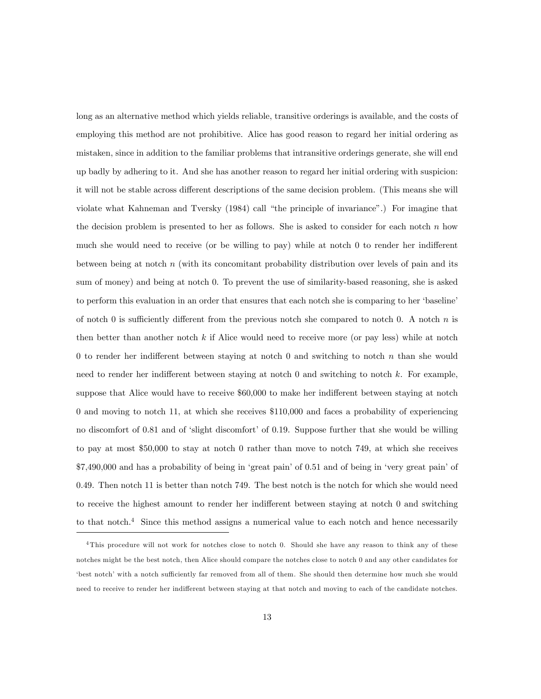long as an alternative method which yields reliable, transitive orderings is available, and the costs of employing this method are not prohibitive. Alice has good reason to regard her initial ordering as mistaken, since in addition to the familiar problems that intransitive orderings generate, she will end up badly by adhering to it. And she has another reason to regard her initial ordering with suspicion: it will not be stable across different descriptions of the same decision problem. (This means she will violate what Kahneman and Tversky (1984) call "the principle of invariance".) For imagine that the decision problem is presented to her as follows. She is asked to consider for each notch  $n$  how much she would need to receive (or be willing to pay) while at notch  $0$  to render her indifferent between being at notch  $n$  (with its concomitant probability distribution over levels of pain and its sum of money) and being at notch 0. To prevent the use of similarity-based reasoning, she is asked to perform this evaluation in an order that ensures that each notch she is comparing to her 'baseline' of notch 0 is sufficiently different from the previous notch she compared to notch 0. A notch  $n$  is then better than another notch  $k$  if Alice would need to receive more (or pay less) while at notch 0 to render her indifferent between staying at notch 0 and switching to notch n than she would need to render her indifferent between staying at notch  $0$  and switching to notch k. For example, suppose that Alice would have to receive \$60,000 to make her indifferent between staying at notch 0 and moving to notch 11, at which she receives \$110,000 and faces a probability of experiencing no discomfort of 0.81 and of 'slight discomfort' of 0.19. Suppose further that she would be willing to pay at most \$50,000 to stay at notch 0 rather than move to notch 749, at which she receives  $$7,490,000$  and has a probability of being in 'great pain' of 0.51 and of being in 'very great pain' of 0.49. Then notch 11 is better than notch 749. The best notch is the notch for which she would need to receive the highest amount to render her indifferent between staying at notch  $0$  and switching to that notch.<sup>4</sup> Since this method assigns a numerical value to each notch and hence necessarily

<sup>&</sup>lt;sup>4</sup>This procedure will not work for notches close to notch 0. Should she have any reason to think any of these notches might be the best notch, then Alice should compare the notches close to notch 0 and any other candidates for ëbest notchíwith a notch su¢ ciently far removed from all of them. She should then determine how much she would need to receive to render her indifferent between staying at that notch and moving to each of the candidate notches.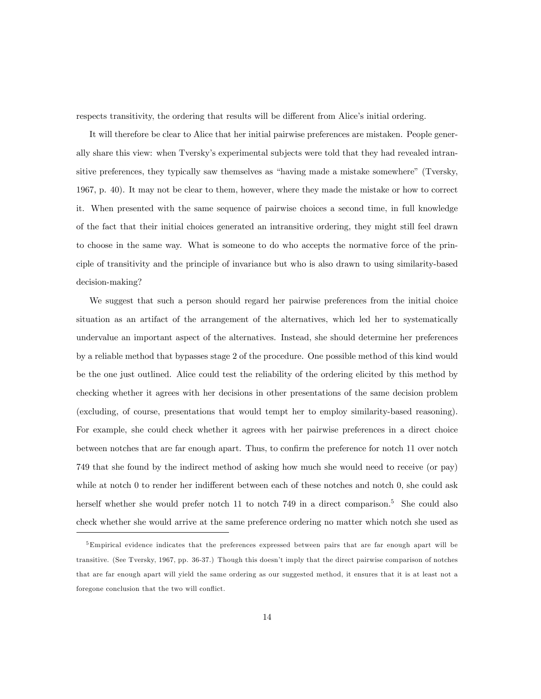respects transitivity, the ordering that results will be different from Alice's initial ordering.

It will therefore be clear to Alice that her initial pairwise preferences are mistaken. People generally share this view: when Tversky's experimental subjects were told that they had revealed intransitive preferences, they typically saw themselves as "having made a mistake somewhere" (Tversky, 1967, p. 40). It may not be clear to them, however, where they made the mistake or how to correct it. When presented with the same sequence of pairwise choices a second time, in full knowledge of the fact that their initial choices generated an intransitive ordering, they might still feel drawn to choose in the same way. What is someone to do who accepts the normative force of the principle of transitivity and the principle of invariance but who is also drawn to using similarity-based decision-making?

We suggest that such a person should regard her pairwise preferences from the initial choice situation as an artifact of the arrangement of the alternatives, which led her to systematically undervalue an important aspect of the alternatives. Instead, she should determine her preferences by a reliable method that bypasses stage 2 of the procedure. One possible method of this kind would be the one just outlined. Alice could test the reliability of the ordering elicited by this method by checking whether it agrees with her decisions in other presentations of the same decision problem (excluding, of course, presentations that would tempt her to employ similarity-based reasoning). For example, she could check whether it agrees with her pairwise preferences in a direct choice between notches that are far enough apart. Thus, to confirm the preference for notch 11 over notch 749 that she found by the indirect method of asking how much she would need to receive (or pay) while at notch  $0$  to render her indifferent between each of these notches and notch  $0$ , she could ask herself whether she would prefer notch 11 to notch 749 in a direct comparison.<sup>5</sup> She could also check whether she would arrive at the same preference ordering no matter which notch she used as

<sup>5</sup>Empirical evidence indicates that the preferences expressed between pairs that are far enough apart will be transitive. (See Tversky, 1967, pp. 36-37.) Though this doesnít imply that the direct pairwise comparison of notches that are far enough apart will yield the same ordering as our suggested method, it ensures that it is at least not a foregone conclusion that the two will conflict.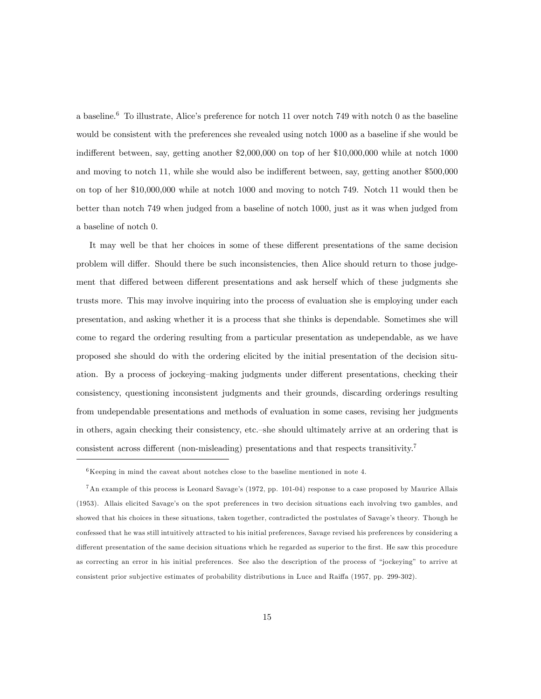a baseline.<sup>6</sup> To illustrate, Alice's preference for notch 11 over notch 749 with notch 0 as the baseline would be consistent with the preferences she revealed using notch 1000 as a baseline if she would be indifferent between, say, getting another  $$2,000,000$  on top of her  $$10,000,000$  while at notch 1000 and moving to notch 11, while she would also be indifferent between, say, getting another \$500,000 on top of her \$10,000,000 while at notch 1000 and moving to notch 749. Notch 11 would then be better than notch 749 when judged from a baseline of notch 1000, just as it was when judged from a baseline of notch 0.

It may well be that her choices in some of these different presentations of the same decision problem will differ. Should there be such inconsistencies, then Alice should return to those judgement that differed between different presentations and ask herself which of these judgments she trusts more. This may involve inquiring into the process of evaluation she is employing under each presentation, and asking whether it is a process that she thinks is dependable. Sometimes she will come to regard the ordering resulting from a particular presentation as undependable, as we have proposed she should do with the ordering elicited by the initial presentation of the decision situation. By a process of jockeying–making judgments under different presentations, checking their consistency, questioning inconsistent judgments and their grounds, discarding orderings resulting from undependable presentations and methods of evaluation in some cases, revising her judgments in others, again checking their consistency, etc.—she should ultimately arrive at an ordering that is consistent across different (non-misleading) presentations and that respects transitivity.<sup>7</sup>

 $6$ Keeping in mind the caveat about notches close to the baseline mentioned in note 4.

<sup>&</sup>lt;sup>7</sup>An example of this process is Leonard Savage's (1972, pp. 101-04) response to a case proposed by Maurice Allais (1953). Allais elicited Savageís on the spot preferences in two decision situations each involving two gambles, and showed that his choices in these situations, taken together, contradicted the postulates of Savage's theory. Though he confessed that he was still intuitively attracted to his initial preferences, Savage revised his preferences by considering a different presentation of the same decision situations which he regarded as superior to the first. He saw this procedure as correcting an error in his initial preferences. See also the description of the process of "jockeying" to arrive at consistent prior subjective estimates of probability distributions in Luce and Raiffa (1957, pp. 299-302).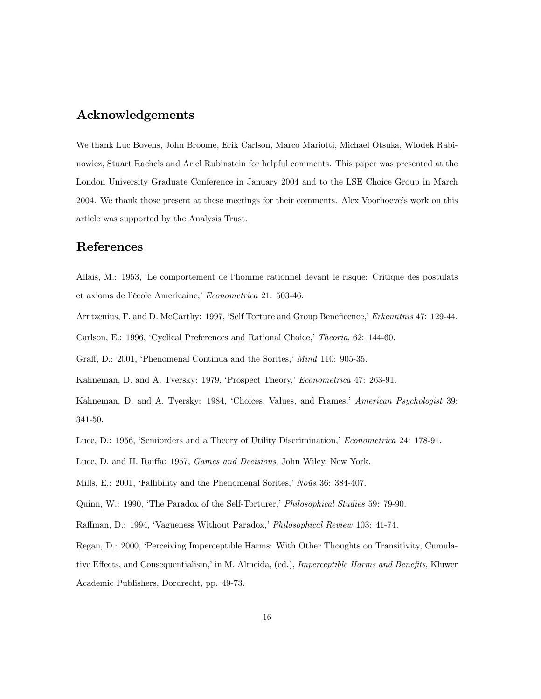### Acknowledgements

We thank Luc Bovens, John Broome, Erik Carlson, Marco Mariotti, Michael Otsuka, Wlodek Rabinowicz, Stuart Rachels and Ariel Rubinstein for helpful comments. This paper was presented at the London University Graduate Conference in January 2004 and to the LSE Choice Group in March 2004. We thank those present at these meetings for their comments. Alex Voorhoeve's work on this article was supported by the Analysis Trust.

#### References

Allais, M.: 1953, ëLe comportement de líhomme rationnel devant le risque: Critique des postulats et axioms de l'école Americaine, Econometrica 21: 503-46.

Arntzenius, F. and D. McCarthy: 1997, 'Self Torture and Group Beneficence,' Erkenntnis 47: 129-44.

Carlson, E.: 1996, 'Cyclical Preferences and Rational Choice,' Theoria, 62: 144-60.

Graff, D.: 2001, 'Phenomenal Continua and the Sorites,' Mind 110: 905-35.

Kahneman, D. and A. Tversky: 1979, 'Prospect Theory,' Econometrica 47: 263-91.

Kahneman, D. and A. Tversky: 1984, 'Choices, Values, and Frames,' American Psychologist 39: 341-50.

Luce, D.: 1956, 'Semiorders and a Theory of Utility Discrimination,' Econometrica 24: 178-91.

Luce, D. and H. Raiffa: 1957, *Games and Decisions*, John Wiley, New York.

Mills, E.: 2001, 'Fallibility and the Phenomenal Sorites,'  $N \sigma \hat{u} s$  36: 384-407.

Quinn, W.: 1990, 'The Paradox of the Self-Torturer,' Philosophical Studies 59: 79-90.

Raffman, D.: 1994, 'Vagueness Without Paradox,' Philosophical Review 103: 41-74.

Regan, D.: 2000, 'Perceiving Imperceptible Harms: With Other Thoughts on Transitivity, Cumulative Effects, and Consequentialism,' in M. Almeida, (ed.), *Imperceptible Harms and Benefits*, Kluwer Academic Publishers, Dordrecht, pp. 49-73.